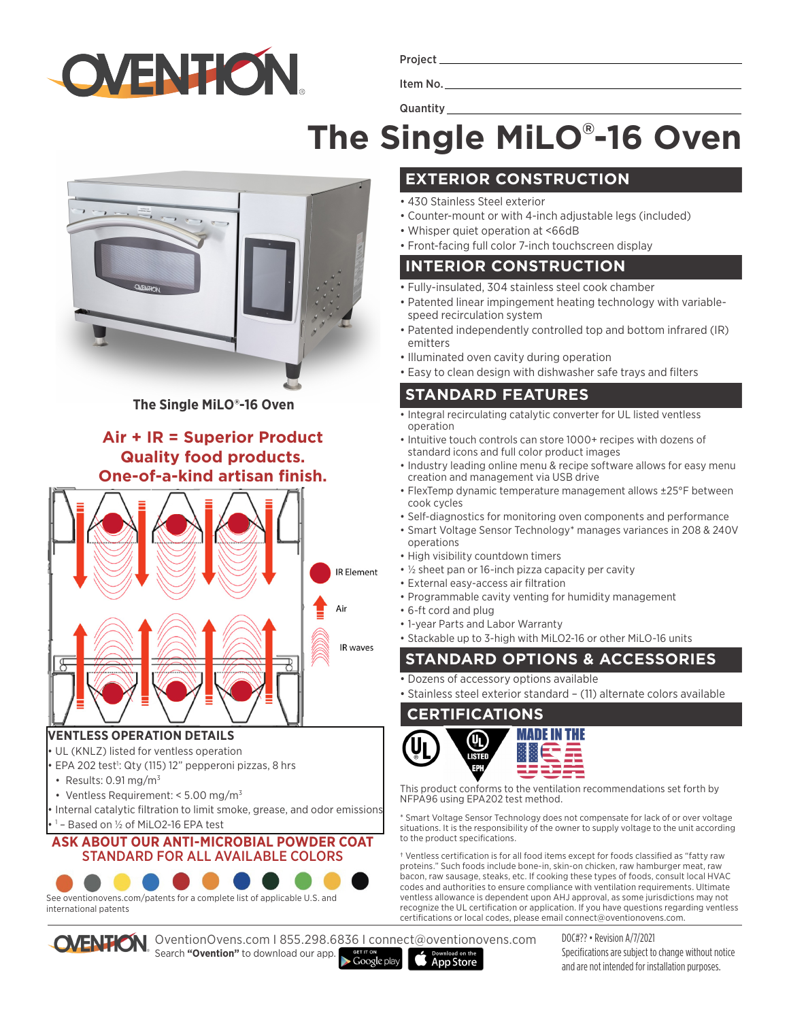

Project

Item No.

**Quantity** 

# **The Single MiLO® -16 Oven**



**The Single MiLO®-16 Oven**

## **Air + IR = Superior Product Quality food products. One-of-a-kind artisan finish.**



#### **VENTLESS OPERATION DETAILS**

- UL (KNLZ) listed for ventless operation
- · EPA 202 test<sup>1</sup>: Qty (115) 12" pepperoni pizzas, 8 hrs
- Results:  $0.91 \,\mathrm{mg/m^3}$
- Ventless Requirement: < 5.00 mg/m<sup>3</sup>
- Internal catalytic filtration to limit smoke, grease, and odor emissions • 1 – Based on ½ of MiLO2-16 EPA test

#### **ASK ABOUT OUR ANTI-MICROBIAL POWDER COAT**  STANDARD FOR ALL AVAILABLE COLORS



See oventionovens.com/patents for a complete list of applicable U.S. and international patents

OventionOvens.com I 855.298.6836 I connect@oventionovens.com Search **"Ovention"** to download our app.

 $\blacktriangleright$  Google play



- 430 Stainless Steel exterior
- Counter-mount or with 4-inch adjustable legs (included)
- Whisper quiet operation at <66dB
- Front-facing full color 7-inch touchscreen display

### **INTERIOR CONSTRUCTION**

- Fully-insulated, 304 stainless steel cook chamber
- Patented linear impingement heating technology with variablespeed recirculation system
- Patented independently controlled top and bottom infrared (IR) emitters
- Illuminated oven cavity during operation
- Easy to clean design with dishwasher safe trays and filters

## **STANDARD FEATURES**

- Integral recirculating catalytic converter for UL listed ventless operation
- Intuitive touch controls can store 1000+ recipes with dozens of standard icons and full color product images
- Industry leading online menu & recipe software allows for easy menu creation and management via USB drive
- FlexTemp dynamic temperature management allows ±25°F between cook cycles
- Self-diagnostics for monitoring oven components and performance
- Smart Voltage Sensor Technology\* manages variances in 208 & 240V operations
- High visibility countdown timers
- ½ sheet pan or 16-inch pizza capacity per cavity
- External easy-access air filtration
- Programmable cavity venting for humidity management
- 6-ft cord and plug
- 1-year Parts and Labor Warranty

• Stackable up to 3-high with MiLO2-16 or other MiLO-16 units

## **STANDARD OPTIONS & ACCESSORIES**

• Dozens of accessory options available

• Stainless steel exterior standard – (11) alternate colors available

#### **CERTIFICATIONS**

**App Store** 



This product conforms to the ventilation recommendations set forth by NFPA96 using EPA202 test method.

\* Smart Voltage Sensor Technology does not compensate for lack of or over voltage situations. It is the responsibility of the owner to supply voltage to the unit according to the product specifications.

† Ventless certification is for all food items except for foods classified as "fatty raw proteins." Such foods include bone-in, skin-on chicken, raw hamburger meat, raw bacon, raw sausage, steaks, etc. If cooking these types of foods, consult local HVAC codes and authorities to ensure compliance with ventilation requirements. Ultimate ventless allowance is dependent upon AHJ approval, as some jurisdictions may not recognize the UL certification or application. If you have questions regarding ventless certifications or local codes, please email connect@oventionovens.com.

> DOC#?? • Revision A/7/2021 Specifications are subject to change without notice and are not intended for installation purposes.